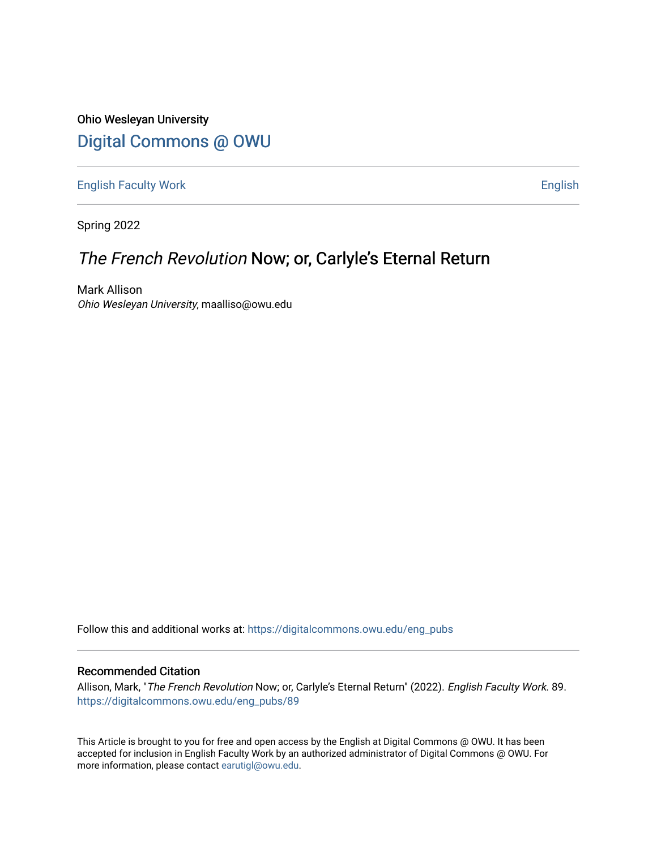Ohio Wesleyan University [Digital Commons @ OWU](https://digitalcommons.owu.edu/) 

[English Faculty Work](https://digitalcommons.owu.edu/eng_pubs) [English](https://digitalcommons.owu.edu/eng) 

Spring 2022

# The French Revolution Now; or, Carlyle's Eternal Return

Mark Allison Ohio Wesleyan University, maalliso@owu.edu

Follow this and additional works at: [https://digitalcommons.owu.edu/eng\\_pubs](https://digitalcommons.owu.edu/eng_pubs?utm_source=digitalcommons.owu.edu%2Feng_pubs%2F89&utm_medium=PDF&utm_campaign=PDFCoverPages) 

## Recommended Citation

Allison, Mark, "The French Revolution Now; or, Carlyle's Eternal Return" (2022). English Faculty Work. 89. [https://digitalcommons.owu.edu/eng\\_pubs/89](https://digitalcommons.owu.edu/eng_pubs/89?utm_source=digitalcommons.owu.edu%2Feng_pubs%2F89&utm_medium=PDF&utm_campaign=PDFCoverPages)

This Article is brought to you for free and open access by the English at Digital Commons @ OWU. It has been accepted for inclusion in English Faculty Work by an authorized administrator of Digital Commons @ OWU. For more information, please contact [earutigl@owu.edu.](mailto:earutigl@owu.edu)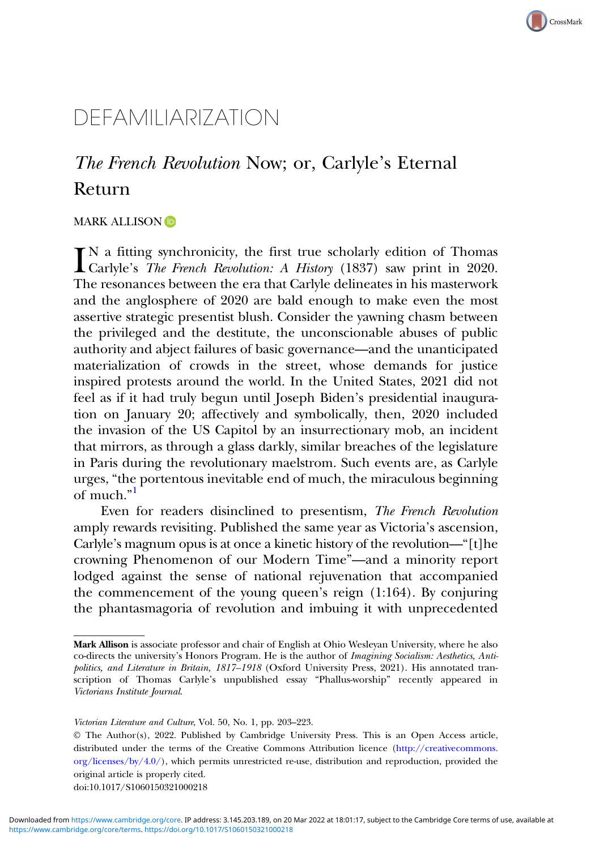# CrossMark

# DEFAMILIARIZATION

# The French Revolution Now; or, Carlyle's Eternal Return

### MARK ALLISON<sup>D</sup>

 $\prod_{\text{Carlyle's}}$  The French Revolution: A History (1837) saw print in 2020. Carlyle's The French Revolution: A History (1837) saw print in 2020. The resonances between the era that Carlyle delineates in his masterwork and the anglosphere of 2020 are bald enough to make even the most assertive strategic presentist blush. Consider the yawning chasm between the privileged and the destitute, the unconscionable abuses of public authority and abject failures of basic governance—and the unanticipated materialization of crowds in the street, whose demands for justice inspired protests around the world. In the United States, 2021 did not feel as if it had truly begun until Joseph Biden's presidential inauguration on January 20; affectively and symbolically, then, 2020 included the invasion of the US Capitol by an insurrectionary mob, an incident that mirrors, as through a glass darkly, similar breaches of the legislature in Paris during the revolutionary maelstrom. Such events are, as Carlyle urges, "the portentous inevitable end of much, the miraculous beginning of much."<sup>[1](#page-15-0)</sup>

Even for readers disinclined to presentism, The French Revolution amply rewards revisiting. Published the same year as Victoria's ascension, Carlyle's magnum opus is at once a kinetic history of the revolution—"[t]he crowning Phenomenon of our Modern Time"—and a minority report lodged against the sense of national rejuvenation that accompanied the commencement of the young queen's reign (1:164). By conjuring the phantasmagoria of revolution and imbuing it with unprecedented

doi:10.1017/S1060150321000218

Mark Allison is associate professor and chair of English at Ohio Wesleyan University, where he also co-directs the university's Honors Program. He is the author of Imagining Socialism: Aesthetics, Antipolitics, and Literature in Britain, 1817–1918 (Oxford University Press, 2021). His annotated transcription of Thomas Carlyle's unpublished essay "Phallus-worship" recently appeared in Victorians Institute Journal.

Victorian Literature and Culture, Vol. 50, No. 1, pp. 203–223.

<sup>©</sup> The Author(s), 2022. Published by Cambridge University Press. This is an Open Access article, distributed under the terms of the Creative Commons Attribution licence [\(http://creativecommons.](http://creativecommons.org/licenses/by/4.0/) [org/licenses/by/4.0/](http://creativecommons.org/licenses/by/4.0/)), which permits unrestricted re-use, distribution and reproduction, provided the original article is properly cited.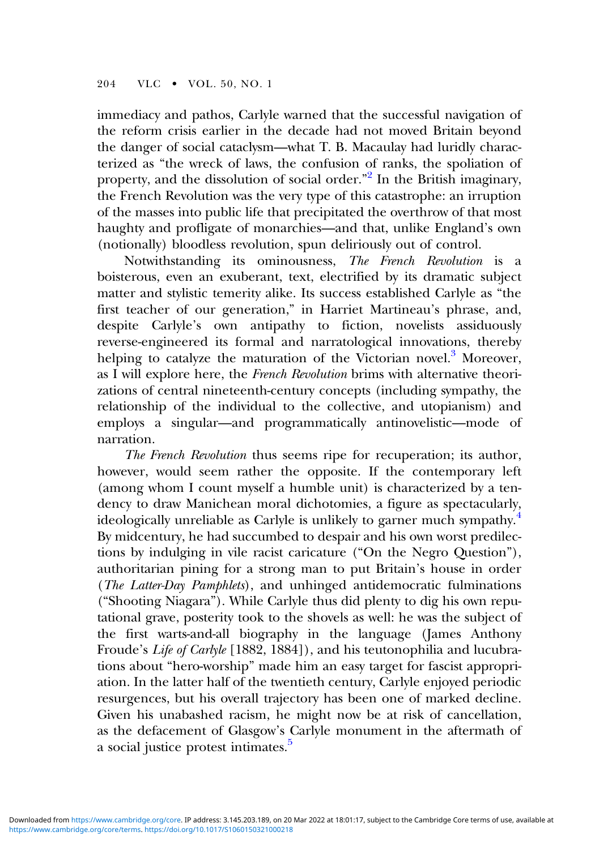immediacy and pathos, Carlyle warned that the successful navigation of the reform crisis earlier in the decade had not moved Britain beyond the danger of social cataclysm—what T. B. Macaulay had luridly characterized as "the wreck of laws, the confusion of ranks, the spoliation of property, and the dissolution of social order."<sup>[2](#page-15-0)</sup> In the British imaginary, the French Revolution was the very type of this catastrophe: an irruption of the masses into public life that precipitated the overthrow of that most haughty and profligate of monarchies—and that, unlike England's own (notionally) bloodless revolution, spun deliriously out of control.

Notwithstanding its ominousness, The French Revolution is a boisterous, even an exuberant, text, electrified by its dramatic subject matter and stylistic temerity alike. Its success established Carlyle as "the first teacher of our generation," in Harriet Martineau's phrase, and, despite Carlyle's own antipathy to fiction, novelists assiduously reverse-engineered its formal and narratological innovations, thereby helping to catalyze the maturation of the Victorian novel.<sup>[3](#page-16-0)</sup> Moreover, as I will explore here, the French Revolution brims with alternative theorizations of central nineteenth-century concepts (including sympathy, the relationship of the individual to the collective, and utopianism) and employs a singular—and programmatically antinovelistic—mode of narration.

The French Revolution thus seems ripe for recuperation; its author, however, would seem rather the opposite. If the contemporary left (among whom I count myself a humble unit) is characterized by a tendency to draw Manichean moral dichotomies, a figure as spectacularly, ideologically unreliable as Carlyle is unlikely to garner much sympathy.<sup>4</sup> By midcentury, he had succumbed to despair and his own worst predilections by indulging in vile racist caricature ("On the Negro Question"), authoritarian pining for a strong man to put Britain's house in order (The Latter-Day Pamphlets), and unhinged antidemocratic fulminations ("Shooting Niagara"). While Carlyle thus did plenty to dig his own reputational grave, posterity took to the shovels as well: he was the subject of the first warts-and-all biography in the language (James Anthony Froude's Life of Carlyle [1882, 1884]), and his teutonophilia and lucubrations about "hero-worship" made him an easy target for fascist appropriation. In the latter half of the twentieth century, Carlyle enjoyed periodic resurgences, but his overall trajectory has been one of marked decline. Given his unabashed racism, he might now be at risk of cancellation, as the defacement of Glasgow's Carlyle monument in the aftermath of a social justice protest intimates.<sup>5</sup>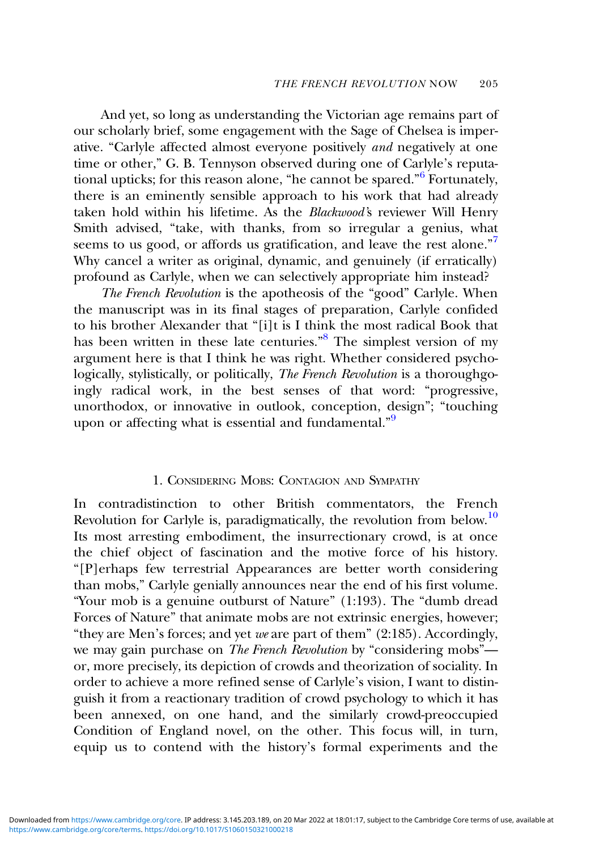And yet, so long as understanding the Victorian age remains part of our scholarly brief, some engagement with the Sage of Chelsea is imperative. "Carlyle affected almost everyone positively and negatively at one time or other," G. B. Tennyson observed during one of Carlyle's reputational upticks; for this reason alone, "he cannot be spared." [6](#page-16-0) Fortunately, there is an eminently sensible approach to his work that had already taken hold within his lifetime. As the Blackwood's reviewer Will Henry Smith advised, "take, with thanks, from so irregular a genius, what seems to us good, or affords us gratification, and leave the rest alone."<sup>[7](#page-16-0)</sup> Why cancel a writer as original, dynamic, and genuinely (if erratically) profound as Carlyle, when we can selectively appropriate him instead?

The French Revolution is the apotheosis of the "good" Carlyle. When the manuscript was in its final stages of preparation, Carlyle confided to his brother Alexander that "[i]t is I think the most radical Book that has been written in these late centuries."<sup>[8](#page-16-0)</sup> The simplest version of my argument here is that I think he was right. Whether considered psychologically, stylistically, or politically, The French Revolution is a thoroughgoingly radical work, in the best senses of that word: "progressive, unorthodox, or innovative in outlook, conception, design"; "touching upon or affecting what is essential and fundamental."<sup>[9](#page-16-0)</sup>

## 1. CONSIDERING MOBS: CONTAGION AND SYMPATHY

In contradistinction to other British commentators, the French Revolution for Carlyle is, paradigmatically, the revolution from below.<sup>[10](#page-16-0)</sup> Its most arresting embodiment, the insurrectionary crowd, is at once the chief object of fascination and the motive force of his history. "[P]erhaps few terrestrial Appearances are better worth considering than mobs," Carlyle genially announces near the end of his first volume. "Your mob is a genuine outburst of Nature" (1:193). The "dumb dread Forces of Nature" that animate mobs are not extrinsic energies, however; "they are Men's forces; and yet we are part of them" (2:185). Accordingly, we may gain purchase on *The French Revolution* by "considering mobs"or, more precisely, its depiction of crowds and theorization of sociality. In order to achieve a more refined sense of Carlyle's vision, I want to distinguish it from a reactionary tradition of crowd psychology to which it has been annexed, on one hand, and the similarly crowd-preoccupied Condition of England novel, on the other. This focus will, in turn, equip us to contend with the history's formal experiments and the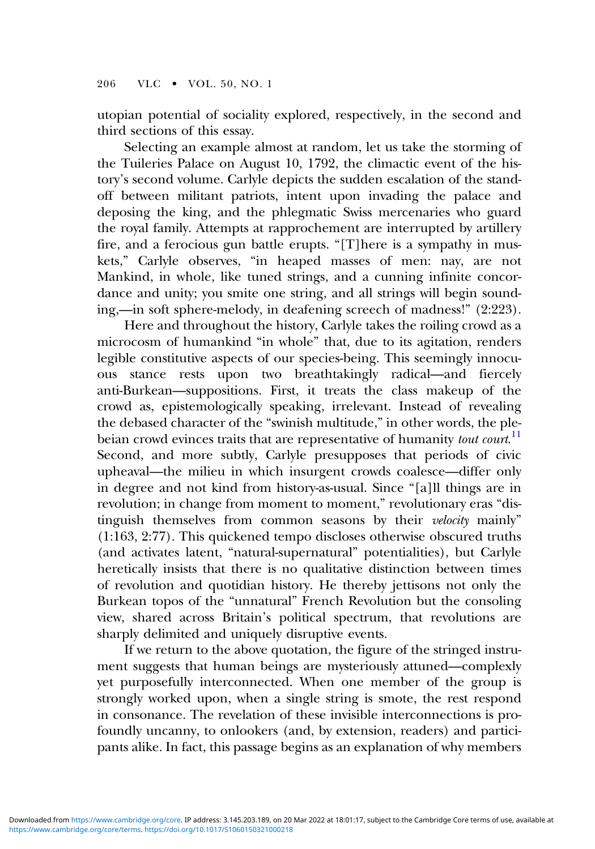utopian potential of sociality explored, respectively, in the second and third sections of this essay.

Selecting an example almost at random, let us take the storming of the Tuileries Palace on August 10, 1792, the climactic event of the history's second volume. Carlyle depicts the sudden escalation of the standoff between militant patriots, intent upon invading the palace and deposing the king, and the phlegmatic Swiss mercenaries who guard the royal family. Attempts at rapprochement are interrupted by artillery fire, and a ferocious gun battle erupts. "[T]here is a sympathy in muskets," Carlyle observes, "in heaped masses of men: nay, are not Mankind, in whole, like tuned strings, and a cunning infinite concordance and unity; you smite one string, and all strings will begin sounding,—in soft sphere-melody, in deafening screech of madness!" (2:223).

Here and throughout the history, Carlyle takes the roiling crowd as a microcosm of humankind "in whole" that, due to its agitation, renders legible constitutive aspects of our species-being. This seemingly innocuous stance rests upon two breathtakingly radical—and fiercely anti-Burkean—suppositions. First, it treats the class makeup of the crowd as, epistemologically speaking, irrelevant. Instead of revealing the debased character of the "swinish multitude," in other words, the ple-beian crowd evinces traits that are representative of humanity tout court.<sup>[11](#page-16-0)</sup> Second, and more subtly, Carlyle presupposes that periods of civic upheaval—the milieu in which insurgent crowds coalesce—differ only in degree and not kind from history-as-usual. Since "[a]ll things are in revolution; in change from moment to moment," revolutionary eras "distinguish themselves from common seasons by their velocity mainly" (1:163, 2:77). This quickened tempo discloses otherwise obscured truths (and activates latent, "natural-supernatural" potentialities), but Carlyle heretically insists that there is no qualitative distinction between times of revolution and quotidian history. He thereby jettisons not only the Burkean topos of the "unnatural" French Revolution but the consoling view, shared across Britain's political spectrum, that revolutions are sharply delimited and uniquely disruptive events.

If we return to the above quotation, the figure of the stringed instrument suggests that human beings are mysteriously attuned—complexly yet purposefully interconnected. When one member of the group is strongly worked upon, when a single string is smote, the rest respond in consonance. The revelation of these invisible interconnections is profoundly uncanny, to onlookers (and, by extension, readers) and participants alike. In fact, this passage begins as an explanation of why members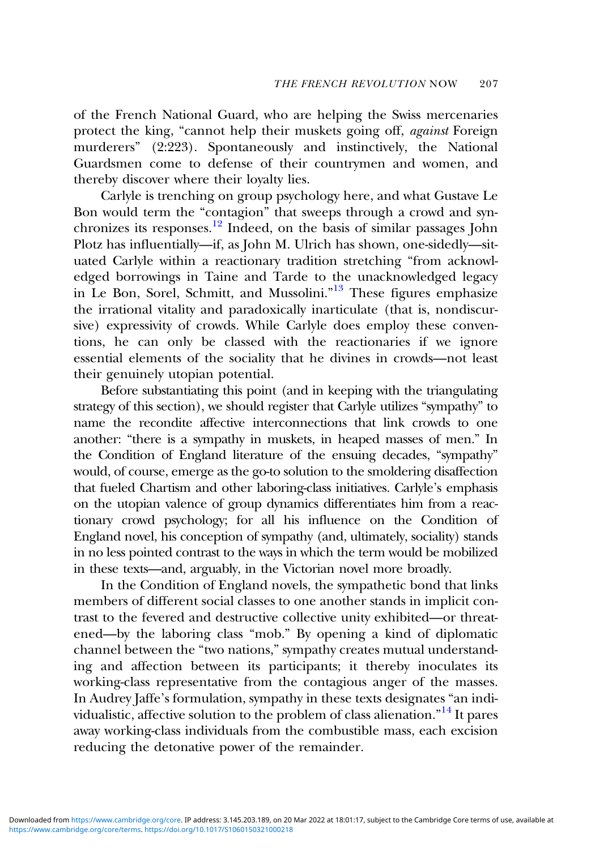of the French National Guard, who are helping the Swiss mercenaries protect the king, "cannot help their muskets going off, against Foreign murderers" (2:223). Spontaneously and instinctively, the National Guardsmen come to defense of their countrymen and women, and thereby discover where their loyalty lies.

Carlyle is trenching on group psychology here, and what Gustave Le Bon would term the "contagion" that sweeps through a crowd and syn-chronizes its responses.<sup>[12](#page-16-0)</sup> Indeed, on the basis of similar passages John Plotz has influentially—if, as John M. Ulrich has shown, one-sidedly—situated Carlyle within a reactionary tradition stretching "from acknowledged borrowings in Taine and Tarde to the unacknowledged legacy in Le Bon, Sorel, Schmitt, and Mussolini."<sup>[13](#page-16-0)</sup> These figures emphasize the irrational vitality and paradoxically inarticulate (that is, nondiscursive) expressivity of crowds. While Carlyle does employ these conventions, he can only be classed with the reactionaries if we ignore essential elements of the sociality that he divines in crowds—not least their genuinely utopian potential.

Before substantiating this point (and in keeping with the triangulating strategy of this section), we should register that Carlyle utilizes "sympathy" to name the recondite affective interconnections that link crowds to one another: "there is a sympathy in muskets, in heaped masses of men." In the Condition of England literature of the ensuing decades, "sympathy" would, of course, emerge as the go-to solution to the smoldering disaffection that fueled Chartism and other laboring-class initiatives. Carlyle's emphasis on the utopian valence of group dynamics differentiates him from a reactionary crowd psychology; for all his influence on the Condition of England novel, his conception of sympathy (and, ultimately, sociality) stands in no less pointed contrast to the ways in which the term would be mobilized in these texts—and, arguably, in the Victorian novel more broadly.

In the Condition of England novels, the sympathetic bond that links members of different social classes to one another stands in implicit contrast to the fevered and destructive collective unity exhibited—or threatened—by the laboring class "mob." By opening a kind of diplomatic channel between the "two nations," sympathy creates mutual understanding and affection between its participants; it thereby inoculates its working-class representative from the contagious anger of the masses. In Audrey Jaffe's formulation, sympathy in these texts designates "an individualistic, affective solution to the problem of class alienation." [14](#page-16-0) It pares away working-class individuals from the combustible mass, each excision reducing the detonative power of the remainder.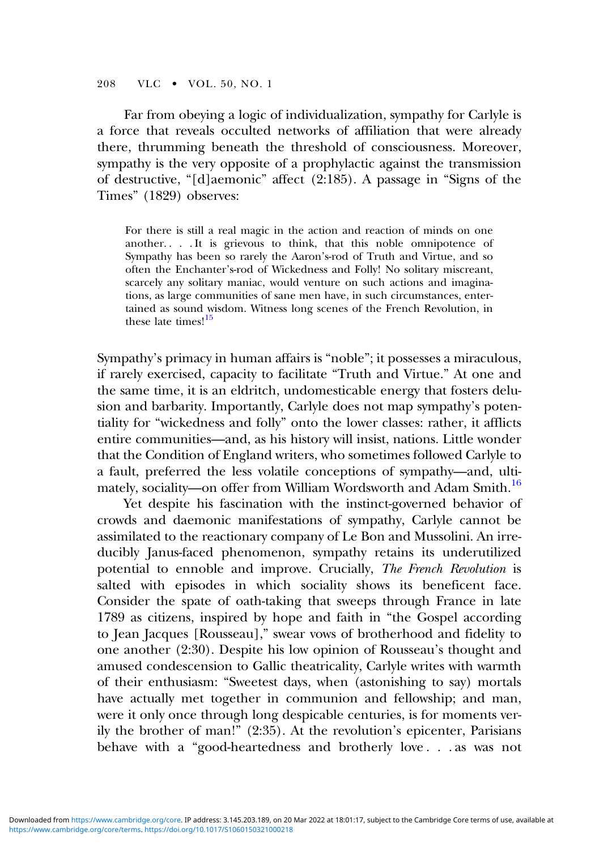208 VLC • VOL. 50, NO. 1

Far from obeying a logic of individualization, sympathy for Carlyle is a force that reveals occulted networks of affiliation that were already there, thrumming beneath the threshold of consciousness. Moreover, sympathy is the very opposite of a prophylactic against the transmission of destructive, "[d]aemonic" affect (2:185). A passage in "Signs of the Times" (1829) observes:

For there is still a real magic in the action and reaction of minds on one another. . . . It is grievous to think, that this noble omnipotence of Sympathy has been so rarely the Aaron's-rod of Truth and Virtue, and so often the Enchanter's-rod of Wickedness and Folly! No solitary miscreant, scarcely any solitary maniac, would venture on such actions and imaginations, as large communities of sane men have, in such circumstances, entertained as sound wisdom. Witness long scenes of the French Revolution, in these late times!<sup>[15](#page-16-0)</sup>

Sympathy's primacy in human affairs is "noble"; it possesses a miraculous, if rarely exercised, capacity to facilitate "Truth and Virtue." At one and the same time, it is an eldritch, undomesticable energy that fosters delusion and barbarity. Importantly, Carlyle does not map sympathy's potentiality for "wickedness and folly" onto the lower classes: rather, it afflicts entire communities—and, as his history will insist, nations. Little wonder that the Condition of England writers, who sometimes followed Carlyle to a fault, preferred the less volatile conceptions of sympathy—and, ulti-mately, sociality-on offer from William Wordsworth and Adam Smith.<sup>[16](#page-16-0)</sup>

Yet despite his fascination with the instinct-governed behavior of crowds and daemonic manifestations of sympathy, Carlyle cannot be assimilated to the reactionary company of Le Bon and Mussolini. An irreducibly Janus-faced phenomenon, sympathy retains its underutilized potential to ennoble and improve. Crucially, The French Revolution is salted with episodes in which sociality shows its beneficent face. Consider the spate of oath-taking that sweeps through France in late 1789 as citizens, inspired by hope and faith in "the Gospel according to Jean Jacques [Rousseau]," swear vows of brotherhood and fidelity to one another (2:30). Despite his low opinion of Rousseau's thought and amused condescension to Gallic theatricality, Carlyle writes with warmth of their enthusiasm: "Sweetest days, when (astonishing to say) mortals have actually met together in communion and fellowship; and man, were it only once through long despicable centuries, is for moments verily the brother of man!" (2:35). At the revolution's epicenter, Parisians behave with a "good-heartedness and brotherly love . . . as was not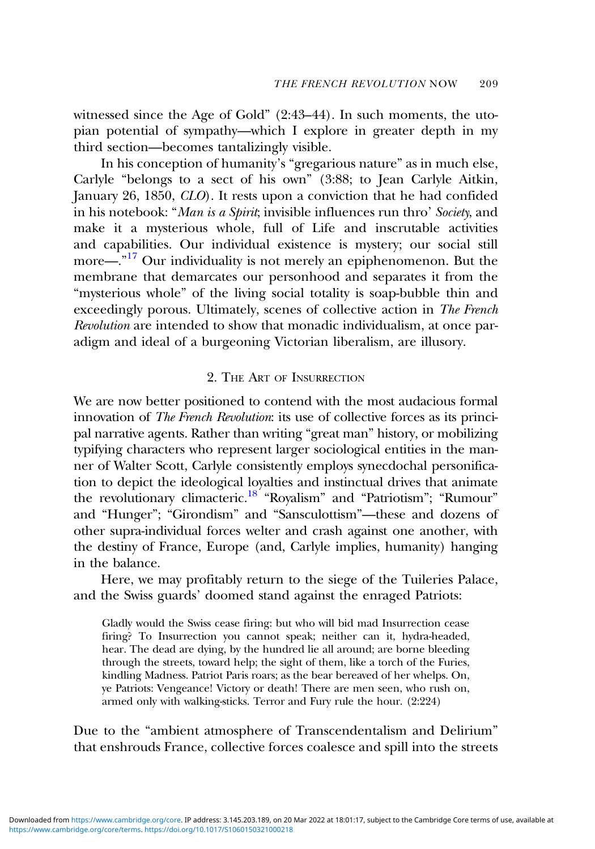witnessed since the Age of Gold" (2:43–44). In such moments, the utopian potential of sympathy—which I explore in greater depth in my third section—becomes tantalizingly visible.

In his conception of humanity's "gregarious nature" as in much else, Carlyle "belongs to a sect of his own" (3:88; to Jean Carlyle Aitkin, January 26, 1850, CLO). It rests upon a conviction that he had confided in his notebook: "Man is a Spirit; invisible influences run thro' Society, and make it a mysterious whole, full of Life and inscrutable activities and capabilities. Our individual existence is mystery; our social still more—.<sup>"[17](#page-16-0)</sup> Our individuality is not merely an epiphenomenon. But the membrane that demarcates our personhood and separates it from the "mysterious whole" of the living social totality is soap-bubble thin and exceedingly porous. Ultimately, scenes of collective action in The French Revolution are intended to show that monadic individualism, at once paradigm and ideal of a burgeoning Victorian liberalism, are illusory.

#### 2. THE ART OF INSURRECTION

We are now better positioned to contend with the most audacious formal innovation of The French Revolution: its use of collective forces as its principal narrative agents. Rather than writing "great man" history, or mobilizing typifying characters who represent larger sociological entities in the manner of Walter Scott, Carlyle consistently employs synecdochal personification to depict the ideological loyalties and instinctual drives that animate the revolutionary climacteric.<sup>18</sup> "Royalism" and "Patriotism"; "Rumour" and "Hunger"; "Girondism" and "Sansculottism"—these and dozens of other supra-individual forces welter and crash against one another, with the destiny of France, Europe (and, Carlyle implies, humanity) hanging in the balance.

Here, we may profitably return to the siege of the Tuileries Palace, and the Swiss guards' doomed stand against the enraged Patriots:

Gladly would the Swiss cease firing: but who will bid mad Insurrection cease firing? To Insurrection you cannot speak; neither can it, hydra-headed, hear. The dead are dying, by the hundred lie all around; are borne bleeding through the streets, toward help; the sight of them, like a torch of the Furies, kindling Madness. Patriot Paris roars; as the bear bereaved of her whelps. On, ye Patriots: Vengeance! Victory or death! There are men seen, who rush on, armed only with walking-sticks. Terror and Fury rule the hour. (2:224)

Due to the "ambient atmosphere of Transcendentalism and Delirium" that enshrouds France, collective forces coalesce and spill into the streets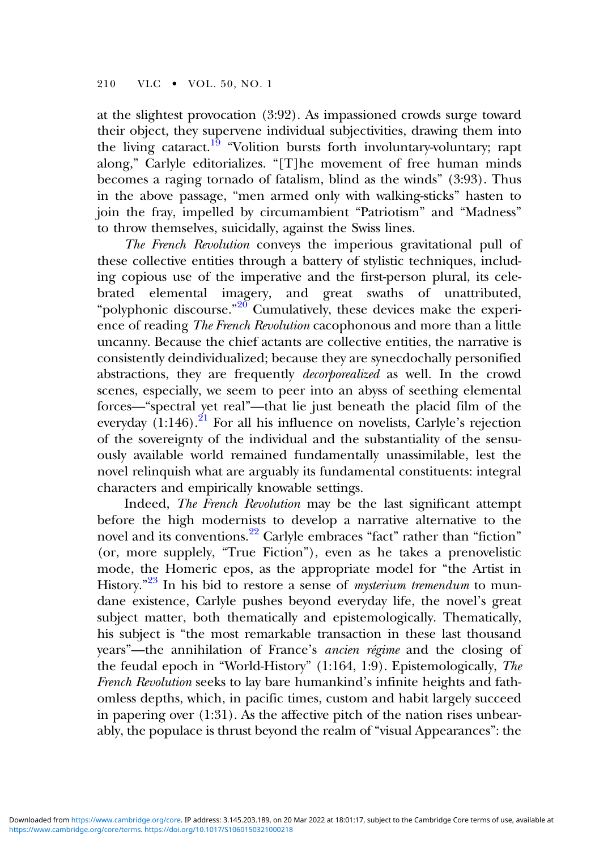at the slightest provocation (3:92). As impassioned crowds surge toward their object, they supervene individual subjectivities, drawing them into the living cataract.<sup>[19](#page-17-0)</sup> "Volition bursts forth involuntary-voluntary; rapt along," Carlyle editorializes. "[T]he movement of free human minds becomes a raging tornado of fatalism, blind as the winds" (3:93). Thus in the above passage, "men armed only with walking-sticks" hasten to join the fray, impelled by circumambient "Patriotism" and "Madness" to throw themselves, suicidally, against the Swiss lines.

The French Revolution conveys the imperious gravitational pull of these collective entities through a battery of stylistic techniques, including copious use of the imperative and the first-person plural, its celebrated elemental imagery, and great swaths of unattributed, "polyphonic discourse."<sup>[20](#page-17-0)</sup> Cumulatively, these devices make the experience of reading The French Revolution cacophonous and more than a little uncanny. Because the chief actants are collective entities, the narrative is consistently deindividualized; because they are synecdochally personified abstractions, they are frequently decorporealized as well. In the crowd scenes, especially, we seem to peer into an abyss of seething elemental forces—"spectral yet real"—that lie just beneath the placid film of the everyday  $(1:146)$ .<sup>[21](#page-17-0)</sup> For all his influence on novelists, Carlyle's rejection of the sovereignty of the individual and the substantiality of the sensuously available world remained fundamentally unassimilable, lest the novel relinquish what are arguably its fundamental constituents: integral characters and empirically knowable settings.

Indeed, The French Revolution may be the last significant attempt before the high modernists to develop a narrative alternative to the novel and its conventions.<sup>[22](#page-17-0)</sup> Carlyle embraces "fact" rather than "fiction" (or, more supplely, "True Fiction"), even as he takes a prenovelistic mode, the Homeric epos, as the appropriate model for "the Artist in History."<sup>[23](#page-17-0)</sup> In his bid to restore a sense of *mysterium tremendum* to mundane existence, Carlyle pushes beyond everyday life, the novel's great subject matter, both thematically and epistemologically. Thematically, his subject is "the most remarkable transaction in these last thousand years"—the annihilation of France's ancien régime and the closing of the feudal epoch in "World-History" (1:164, 1:9). Epistemologically, The French Revolution seeks to lay bare humankind's infinite heights and fathomless depths, which, in pacific times, custom and habit largely succeed in papering over (1:31). As the affective pitch of the nation rises unbearably, the populace is thrust beyond the realm of "visual Appearances": the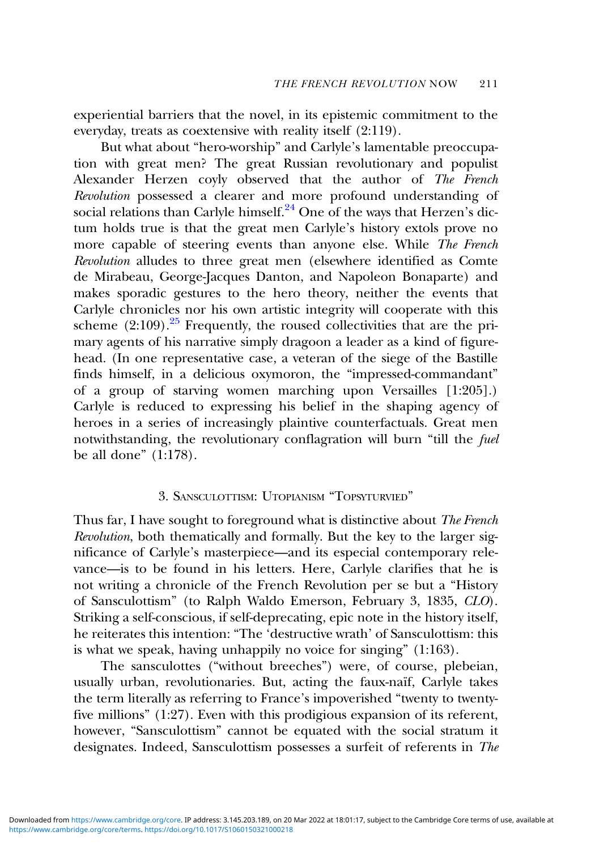experiential barriers that the novel, in its epistemic commitment to the everyday, treats as coextensive with reality itself (2:119).

But what about "hero-worship" and Carlyle's lamentable preoccupation with great men? The great Russian revolutionary and populist Alexander Herzen coyly observed that the author of The French Revolution possessed a clearer and more profound understanding of social relations than Carlyle himself.<sup>[24](#page-17-0)</sup> One of the ways that Herzen's dictum holds true is that the great men Carlyle's history extols prove no more capable of steering events than anyone else. While The French Revolution alludes to three great men (elsewhere identified as Comte de Mirabeau, George-Jacques Danton, and Napoleon Bonaparte) and makes sporadic gestures to the hero theory, neither the events that Carlyle chronicles nor his own artistic integrity will cooperate with this scheme  $(2:109)$ .<sup>[25](#page-17-0)</sup> Frequently, the roused collectivities that are the primary agents of his narrative simply dragoon a leader as a kind of figurehead. (In one representative case, a veteran of the siege of the Bastille finds himself, in a delicious oxymoron, the "impressed-commandant" of a group of starving women marching upon Versailles [1:205].) Carlyle is reduced to expressing his belief in the shaping agency of heroes in a series of increasingly plaintive counterfactuals. Great men notwithstanding, the revolutionary conflagration will burn "till the fuel be all done" (1:178).

## 3. SANSCULOTTISM: UTOPIANISM "TOPSYTURVIED"

Thus far, I have sought to foreground what is distinctive about The French Revolution, both thematically and formally. But the key to the larger significance of Carlyle's masterpiece—and its especial contemporary relevance—is to be found in his letters. Here, Carlyle clarifies that he is not writing a chronicle of the French Revolution per se but a "History of Sansculottism" (to Ralph Waldo Emerson, February 3, 1835, CLO). Striking a self-conscious, if self-deprecating, epic note in the history itself, he reiterates this intention: "The 'destructive wrath' of Sansculottism: this is what we speak, having unhappily no voice for singing" (1:163).

The sansculottes ("without breeches") were, of course, plebeian, usually urban, revolutionaries. But, acting the faux-naïf, Carlyle takes the term literally as referring to France's impoverished "twenty to twentyfive millions" (1:27). Even with this prodigious expansion of its referent, however, "Sansculottism" cannot be equated with the social stratum it designates. Indeed, Sansculottism possesses a surfeit of referents in The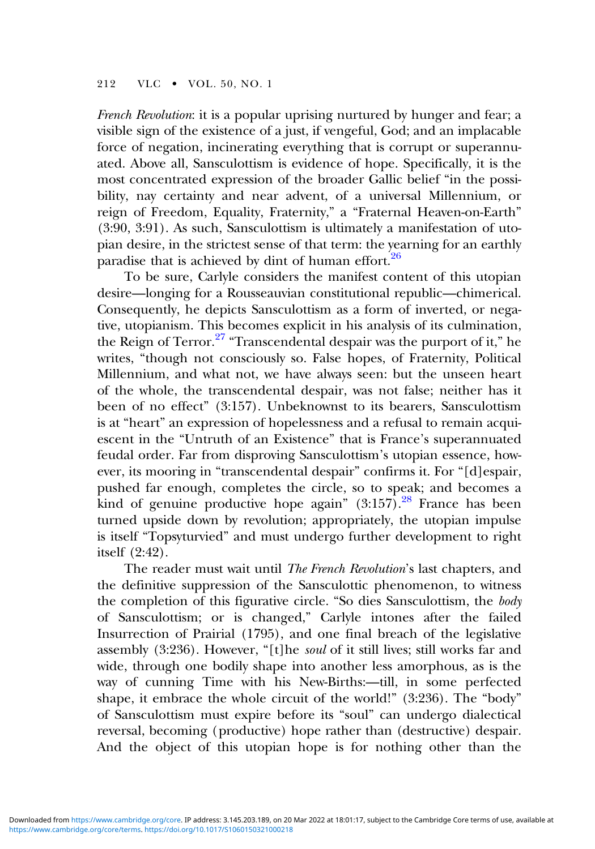French Revolution: it is a popular uprising nurtured by hunger and fear; a visible sign of the existence of a just, if vengeful, God; and an implacable force of negation, incinerating everything that is corrupt or superannuated. Above all, Sansculottism is evidence of hope. Specifically, it is the most concentrated expression of the broader Gallic belief "in the possibility, nay certainty and near advent, of a universal Millennium, or reign of Freedom, Equality, Fraternity," a "Fraternal Heaven-on-Earth" (3:90, 3:91). As such, Sansculottism is ultimately a manifestation of utopian desire, in the strictest sense of that term: the yearning for an earthly paradise that is achieved by dint of human effort. $26$ 

To be sure, Carlyle considers the manifest content of this utopian desire—longing for a Rousseauvian constitutional republic—chimerical. Consequently, he depicts Sansculottism as a form of inverted, or negative, utopianism. This becomes explicit in his analysis of its culmination, the Reign of Terror. $27$  "Transcendental despair was the purport of it," he writes, "though not consciously so. False hopes, of Fraternity, Political Millennium, and what not, we have always seen: but the unseen heart of the whole, the transcendental despair, was not false; neither has it been of no effect" (3:157). Unbeknownst to its bearers, Sansculottism is at "heart" an expression of hopelessness and a refusal to remain acquiescent in the "Untruth of an Existence" that is France's superannuated feudal order. Far from disproving Sansculottism's utopian essence, however, its mooring in "transcendental despair" confirms it. For "[d]espair, pushed far enough, completes the circle, so to speak; and becomes a kind of genuine productive hope again"  $(3.157)$ .<sup>[28](#page-18-0)</sup> France has been turned upside down by revolution; appropriately, the utopian impulse is itself "Topsyturvied" and must undergo further development to right itself (2:42).

The reader must wait until The French Revolution's last chapters, and the definitive suppression of the Sansculottic phenomenon, to witness the completion of this figurative circle. "So dies Sansculottism, the body of Sansculottism; or is changed," Carlyle intones after the failed Insurrection of Prairial (1795), and one final breach of the legislative assembly (3:236). However, "[t]he soul of it still lives; still works far and wide, through one bodily shape into another less amorphous, as is the way of cunning Time with his New-Births:—till, in some perfected shape, it embrace the whole circuit of the world!" (3:236). The "body" of Sansculottism must expire before its "soul" can undergo dialectical reversal, becoming (productive) hope rather than (destructive) despair. And the object of this utopian hope is for nothing other than the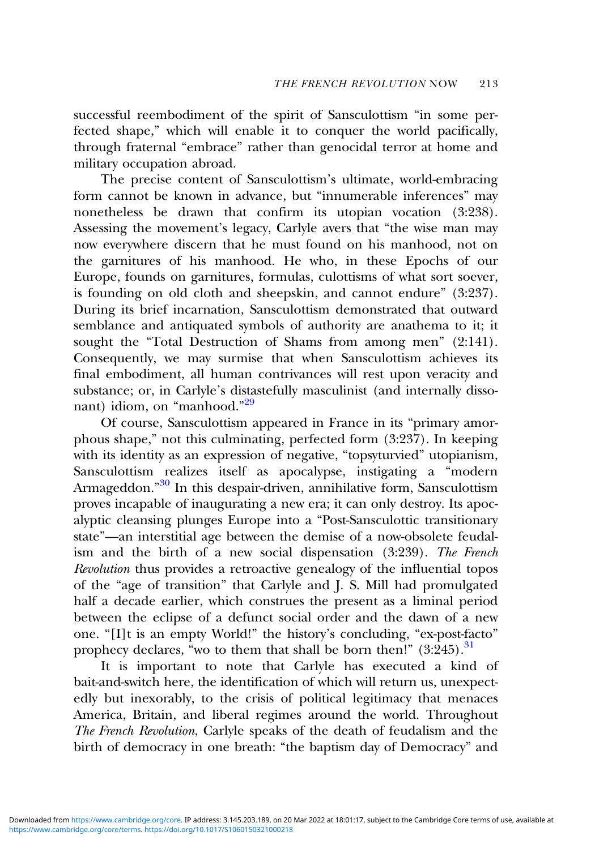successful reembodiment of the spirit of Sansculottism "in some perfected shape," which will enable it to conquer the world pacifically, through fraternal "embrace" rather than genocidal terror at home and military occupation abroad.

The precise content of Sansculottism's ultimate, world-embracing form cannot be known in advance, but "innumerable inferences" may nonetheless be drawn that confirm its utopian vocation (3:238). Assessing the movement's legacy, Carlyle avers that "the wise man may now everywhere discern that he must found on his manhood, not on the garnitures of his manhood. He who, in these Epochs of our Europe, founds on garnitures, formulas, culottisms of what sort soever, is founding on old cloth and sheepskin, and cannot endure" (3:237). During its brief incarnation, Sansculottism demonstrated that outward semblance and antiquated symbols of authority are anathema to it; it sought the "Total Destruction of Shams from among men" (2:141). Consequently, we may surmise that when Sansculottism achieves its final embodiment, all human contrivances will rest upon veracity and substance; or, in Carlyle's distastefully masculinist (and internally disso-nant) idiom, on "manhood."<sup>[29](#page-18-0)</sup>

Of course, Sansculottism appeared in France in its "primary amorphous shape," not this culminating, perfected form (3:237). In keeping with its identity as an expression of negative, "topsyturvied" utopianism, Sansculottism realizes itself as apocalypse, instigating a "modern Armageddon."<sup>[30](#page-18-0)</sup> In this despair-driven, annihilative form, Sansculottism proves incapable of inaugurating a new era; it can only destroy. Its apocalyptic cleansing plunges Europe into a "Post-Sansculottic transitionary state"—an interstitial age between the demise of a now-obsolete feudalism and the birth of a new social dispensation (3:239). The French Revolution thus provides a retroactive genealogy of the influential topos of the "age of transition" that Carlyle and J. S. Mill had promulgated half a decade earlier, which construes the present as a liminal period between the eclipse of a defunct social order and the dawn of a new one. "[I]t is an empty World!" the history's concluding, "ex-post-facto" prophecy declares, "wo to them that shall be born then!"  $(3.245)$ .<sup>[31](#page-18-0)</sup>

It is important to note that Carlyle has executed a kind of bait-and-switch here, the identification of which will return us, unexpectedly but inexorably, to the crisis of political legitimacy that menaces America, Britain, and liberal regimes around the world. Throughout The French Revolution, Carlyle speaks of the death of feudalism and the birth of democracy in one breath: "the baptism day of Democracy" and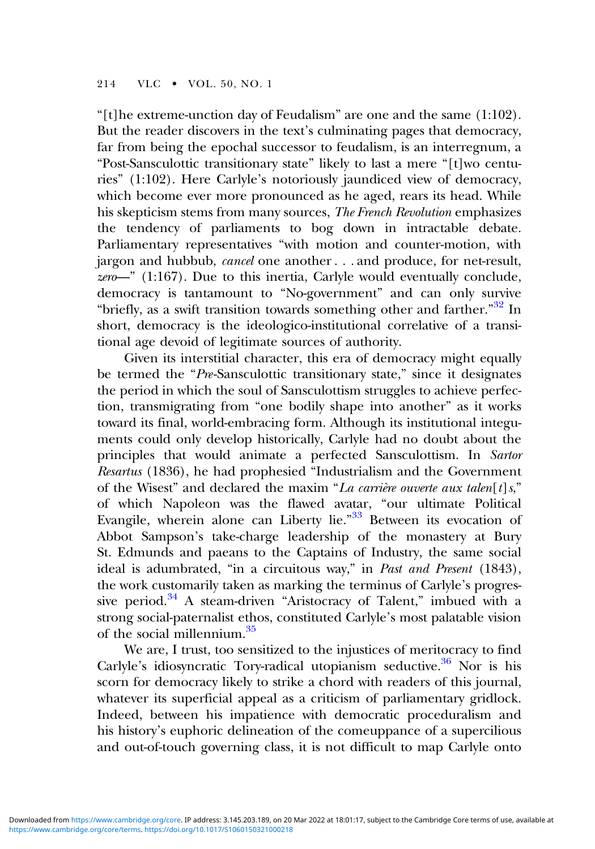"[t]he extreme-unction day of Feudalism" are one and the same  $(1:102)$ . But the reader discovers in the text's culminating pages that democracy, far from being the epochal successor to feudalism, is an interregnum, a "Post-Sansculottic transitionary state" likely to last a mere "[t]wo centuries" (1:102). Here Carlyle's notoriously jaundiced view of democracy, which become ever more pronounced as he aged, rears its head. While his skepticism stems from many sources, The French Revolution emphasizes the tendency of parliaments to bog down in intractable debate. Parliamentary representatives "with motion and counter-motion, with jargon and hubbub, cancel one another . . . and produce, for net-result,  $zero$ <sup>"</sup> (1:167). Due to this inertia, Carlyle would eventually conclude, democracy is tantamount to "No-government" and can only survive "briefly, as a swift transition towards something other and farther."<sup>[32](#page-18-0)</sup> In short, democracy is the ideologico-institutional correlative of a transitional age devoid of legitimate sources of authority.

Given its interstitial character, this era of democracy might equally be termed the "Pre-Sansculottic transitionary state," since it designates the period in which the soul of Sansculottism struggles to achieve perfection, transmigrating from "one bodily shape into another" as it works toward its final, world-embracing form. Although its institutional integuments could only develop historically, Carlyle had no doubt about the principles that would animate a perfected Sansculottism. In Sartor Resartus (1836), he had prophesied "Industrialism and the Government of the Wisest" and declared the maxim "La carrière ouverte aux talen $[t]$ s," of which Napoleon was the flawed avatar, "our ultimate Political Evangile, wherein alone can Liberty lie."<sup>[33](#page-18-0)</sup> Between its evocation of Abbot Sampson's take-charge leadership of the monastery at Bury St. Edmunds and paeans to the Captains of Industry, the same social ideal is adumbrated, "in a circuitous way," in Past and Present (1843), the work customarily taken as marking the terminus of Carlyle's progres-sive period.<sup>[34](#page-18-0)</sup> A steam-driven "Aristocracy of Talent," imbued with a strong social-paternalist ethos, constituted Carlyle's most palatable vision of the social millennium.[35](#page-18-0)

We are, I trust, too sensitized to the injustices of meritocracy to find Carlyle's idiosyncratic Tory-radical utopianism seductive.<sup>36</sup> Nor is his scorn for democracy likely to strike a chord with readers of this journal, whatever its superficial appeal as a criticism of parliamentary gridlock. Indeed, between his impatience with democratic proceduralism and his history's euphoric delineation of the comeuppance of a supercilious and out-of-touch governing class, it is not difficult to map Carlyle onto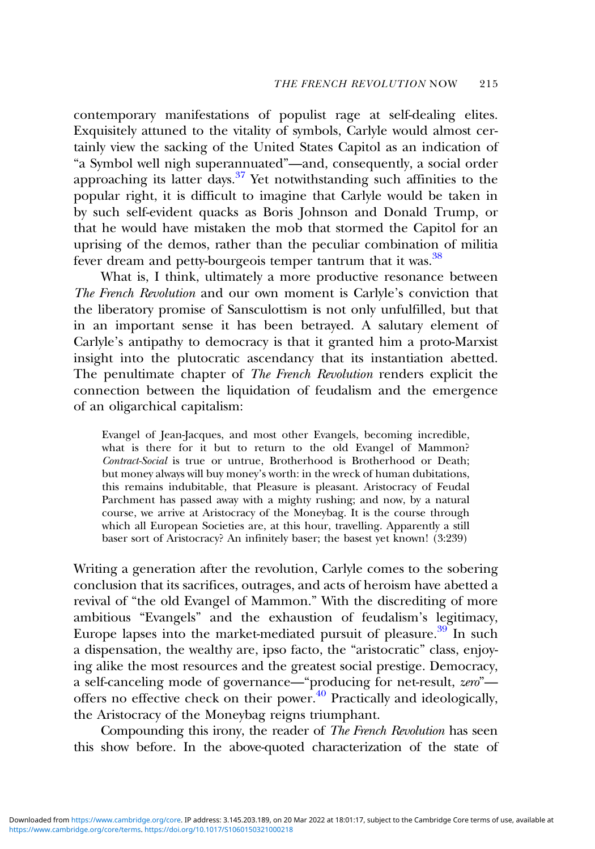contemporary manifestations of populist rage at self-dealing elites. Exquisitely attuned to the vitality of symbols, Carlyle would almost certainly view the sacking of the United States Capitol as an indication of "a Symbol well nigh superannuated"—and, consequently, a social order approaching its latter days.<sup>37</sup> Yet notwithstanding such affinities to the popular right, it is difficult to imagine that Carlyle would be taken in by such self-evident quacks as Boris Johnson and Donald Trump, or that he would have mistaken the mob that stormed the Capitol for an uprising of the demos, rather than the peculiar combination of militia fever dream and petty-bourgeois temper tantrum that it was.<sup>[38](#page-18-0)</sup>

What is, I think, ultimately a more productive resonance between The French Revolution and our own moment is Carlyle's conviction that the liberatory promise of Sansculottism is not only unfulfilled, but that in an important sense it has been betrayed. A salutary element of Carlyle's antipathy to democracy is that it granted him a proto-Marxist insight into the plutocratic ascendancy that its instantiation abetted. The penultimate chapter of The French Revolution renders explicit the connection between the liquidation of feudalism and the emergence of an oligarchical capitalism:

Evangel of Jean-Jacques, and most other Evangels, becoming incredible, what is there for it but to return to the old Evangel of Mammon? Contract-Social is true or untrue, Brotherhood is Brotherhood or Death; but money always will buy money's worth: in the wreck of human dubitations, this remains indubitable, that Pleasure is pleasant. Aristocracy of Feudal Parchment has passed away with a mighty rushing; and now, by a natural course, we arrive at Aristocracy of the Moneybag. It is the course through which all European Societies are, at this hour, travelling. Apparently a still baser sort of Aristocracy? An infinitely baser; the basest yet known! (3:239)

Writing a generation after the revolution, Carlyle comes to the sobering conclusion that its sacrifices, outrages, and acts of heroism have abetted a revival of "the old Evangel of Mammon." With the discrediting of more ambitious "Evangels" and the exhaustion of feudalism's legitimacy, Europe lapses into the market-mediated pursuit of pleasure. $39$  In such a dispensation, the wealthy are, ipso facto, the "aristocratic" class, enjoying alike the most resources and the greatest social prestige. Democracy, a self-canceling mode of governance—"producing for net-result, zero" offers no effective check on their power. $40$  Practically and ideologically, the Aristocracy of the Moneybag reigns triumphant.

Compounding this irony, the reader of *The French Revolution* has seen this show before. In the above-quoted characterization of the state of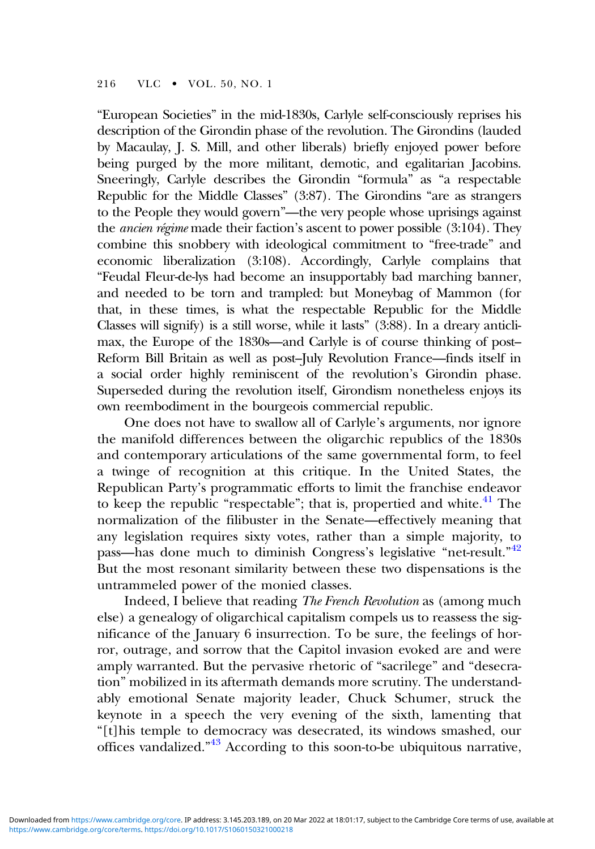"European Societies" in the mid-1830s, Carlyle self-consciously reprises his description of the Girondin phase of the revolution. The Girondins (lauded by Macaulay, J. S. Mill, and other liberals) briefly enjoyed power before being purged by the more militant, demotic, and egalitarian Jacobins. Sneeringly, Carlyle describes the Girondin "formula" as "a respectable Republic for the Middle Classes" (3:87). The Girondins "are as strangers to the People they would govern"—the very people whose uprisings against the ancien régime made their faction's ascent to power possible (3:104). They combine this snobbery with ideological commitment to "free-trade" and economic liberalization (3:108). Accordingly, Carlyle complains that "Feudal Fleur-de-lys had become an insupportably bad marching banner, and needed to be torn and trampled: but Moneybag of Mammon (for that, in these times, is what the respectable Republic for the Middle Classes will signify) is a still worse, while it lasts" (3:88). In a dreary anticlimax, the Europe of the 1830s—and Carlyle is of course thinking of post– Reform Bill Britain as well as post–July Revolution France—finds itself in a social order highly reminiscent of the revolution's Girondin phase. Superseded during the revolution itself, Girondism nonetheless enjoys its own reembodiment in the bourgeois commercial republic.

One does not have to swallow all of Carlyle's arguments, nor ignore the manifold differences between the oligarchic republics of the 1830s and contemporary articulations of the same governmental form, to feel a twinge of recognition at this critique. In the United States, the Republican Party's programmatic efforts to limit the franchise endeavor to keep the republic "respectable"; that is, propertied and white. $41$  The normalization of the filibuster in the Senate—effectively meaning that any legislation requires sixty votes, rather than a simple majority, to pass—has done much to diminish Congress's legislative "net-result."<sup>[42](#page-19-0)</sup> But the most resonant similarity between these two dispensations is the untrammeled power of the monied classes.

Indeed, I believe that reading The French Revolution as (among much else) a genealogy of oligarchical capitalism compels us to reassess the significance of the January 6 insurrection. To be sure, the feelings of horror, outrage, and sorrow that the Capitol invasion evoked are and were amply warranted. But the pervasive rhetoric of "sacrilege" and "desecration" mobilized in its aftermath demands more scrutiny. The understandably emotional Senate majority leader, Chuck Schumer, struck the keynote in a speech the very evening of the sixth, lamenting that "[t]his temple to democracy was desecrated, its windows smashed, our offices vandalized."<sup>[43](#page-19-0)</sup> According to this soon-to-be ubiquitous narrative,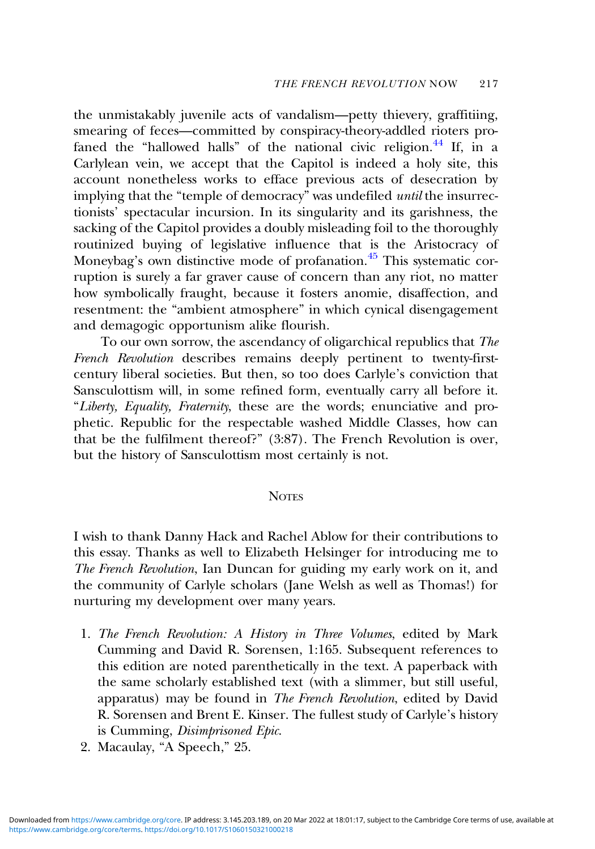<span id="page-15-0"></span>the unmistakably juvenile acts of vandalism—petty thievery, graffitiing, smearing of feces—committed by conspiracy-theory-addled rioters profaned the "hallowed halls" of the national civic religion. $44$  If, in a Carlylean vein, we accept that the Capitol is indeed a holy site, this account nonetheless works to efface previous acts of desecration by implying that the "temple of democracy" was undefiled *until* the insurrectionists' spectacular incursion. In its singularity and its garishness, the sacking of the Capitol provides a doubly misleading foil to the thoroughly routinized buying of legislative influence that is the Aristocracy of Moneybag's own distinctive mode of profanation.<sup>[45](#page-19-0)</sup> This systematic corruption is surely a far graver cause of concern than any riot, no matter how symbolically fraught, because it fosters anomie, disaffection, and resentment: the "ambient atmosphere" in which cynical disengagement and demagogic opportunism alike flourish.

To our own sorrow, the ascendancy of oligarchical republics that The French Revolution describes remains deeply pertinent to twenty-firstcentury liberal societies. But then, so too does Carlyle's conviction that Sansculottism will, in some refined form, eventually carry all before it. "Liberty, Equality, Fraternity, these are the words; enunciative and prophetic. Republic for the respectable washed Middle Classes, how can that be the fulfilment thereof?" (3:87). The French Revolution is over, but the history of Sansculottism most certainly is not.

#### **NOTES**

I wish to thank Danny Hack and Rachel Ablow for their contributions to this essay. Thanks as well to Elizabeth Helsinger for introducing me to The French Revolution, Ian Duncan for guiding my early work on it, and the community of Carlyle scholars (Jane Welsh as well as Thomas!) for nurturing my development over many years.

- 1. The French Revolution: A History in Three Volumes, edited by Mark Cumming and David R. Sorensen, 1:165. Subsequent references to this edition are noted parenthetically in the text. A paperback with the same scholarly established text (with a slimmer, but still useful, apparatus) may be found in The French Revolution, edited by David R. Sorensen and Brent E. Kinser. The fullest study of Carlyle's history is Cumming, Disimprisoned Epic.
- 2. Macaulay, "A Speech," 25.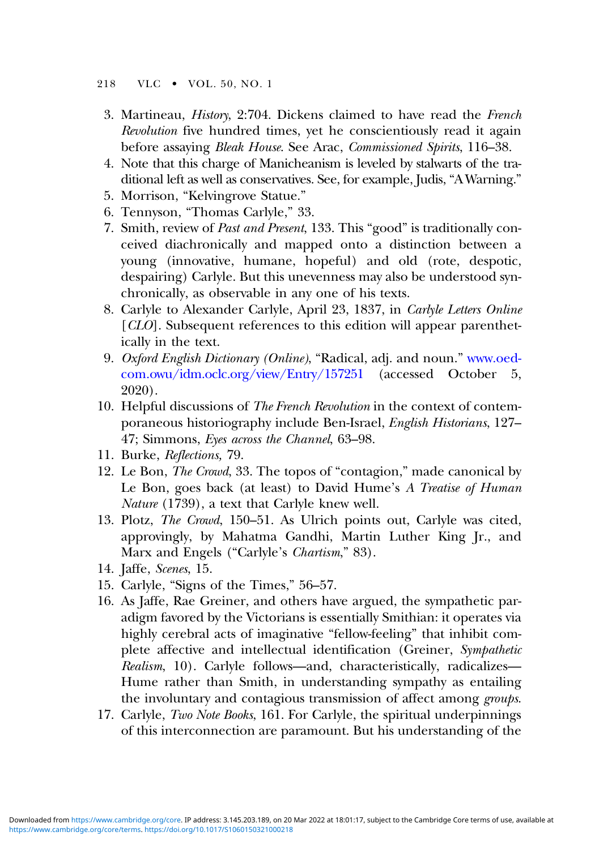#### <span id="page-16-0"></span>218 VLC • VOL. 50, NO. 1

- 3. Martineau, History, 2:704. Dickens claimed to have read the French Revolution five hundred times, yet he conscientiously read it again before assaying *Bleak House*. See Arac, *Commissioned Spirits*, 116–38.
- 4. Note that this charge of Manicheanism is leveled by stalwarts of the traditional left as well as conservatives. See, for example, Judis, "AWarning."
- 5. Morrison, "Kelvingrove Statue."
- 6. Tennyson, "Thomas Carlyle," 33.
- 7. Smith, review of Past and Present, 133. This "good" is traditionally conceived diachronically and mapped onto a distinction between a young (innovative, humane, hopeful) and old (rote, despotic, despairing) Carlyle. But this unevenness may also be understood synchronically, as observable in any one of his texts.
- 8. Carlyle to Alexander Carlyle, April 23, 1837, in Carlyle Letters Online [CLO]. Subsequent references to this edition will appear parenthetically in the text.
- 9. Oxford English Dictionary (Online), "Radical, adj. and noun." [www.oed](https://www.oed-com.owu/idm.oclc.org/view/Entry/157251)[com.owu/idm.oclc.org/view/Entry/157251](https://www.oed-com.owu/idm.oclc.org/view/Entry/157251) (accessed October 5, 2020).
- 10. Helpful discussions of The French Revolution in the context of contemporaneous historiography include Ben-Israel, English Historians, 127– 47; Simmons, Eyes across the Channel, 63–98.
- 11. Burke, Reflections, 79.
- 12. Le Bon, The Crowd, 33. The topos of "contagion," made canonical by Le Bon, goes back (at least) to David Hume's A Treatise of Human Nature (1739), a text that Carlyle knew well.
- 13. Plotz, The Crowd, 150–51. As Ulrich points out, Carlyle was cited, approvingly, by Mahatma Gandhi, Martin Luther King Jr., and Marx and Engels ("Carlyle's *Chartism*," 83).
- 14. Jaffe, Scenes, 15.
- 15. Carlyle, "Signs of the Times," 56–57.
- 16. As Jaffe, Rae Greiner, and others have argued, the sympathetic paradigm favored by the Victorians is essentially Smithian: it operates via highly cerebral acts of imaginative "fellow-feeling" that inhibit complete affective and intellectual identification (Greiner, Sympathetic Realism, 10). Carlyle follows—and, characteristically, radicalizes— Hume rather than Smith, in understanding sympathy as entailing the involuntary and contagious transmission of affect among groups.
- 17. Carlyle, Two Note Books, 161. For Carlyle, the spiritual underpinnings of this interconnection are paramount. But his understanding of the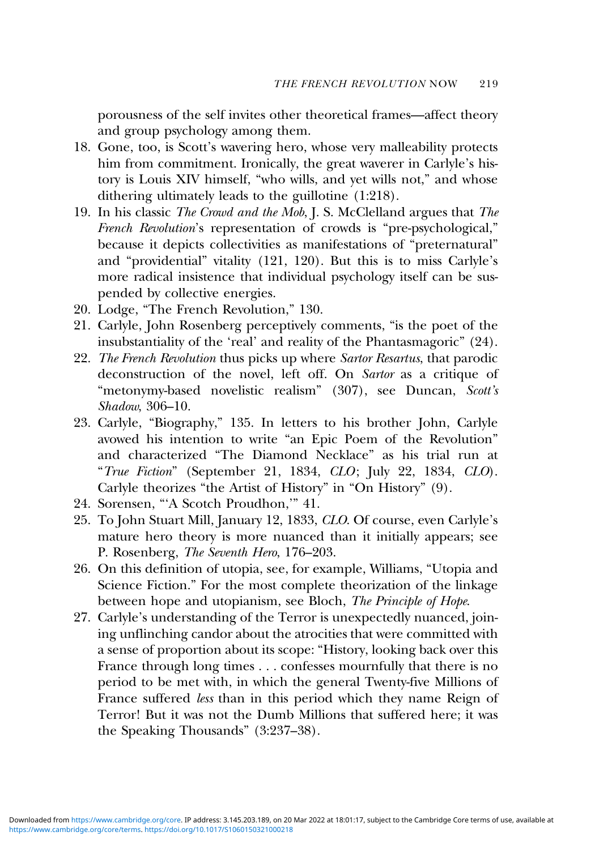<span id="page-17-0"></span>porousness of the self invites other theoretical frames—affect theory and group psychology among them.

- 18. Gone, too, is Scott's wavering hero, whose very malleability protects him from commitment. Ironically, the great waverer in Carlyle's history is Louis XIV himself, "who wills, and yet wills not," and whose dithering ultimately leads to the guillotine (1:218).
- 19. In his classic The Crowd and the Mob, J. S. McClelland argues that The French Revolution's representation of crowds is "pre-psychological," because it depicts collectivities as manifestations of "preternatural" and "providential" vitality (121, 120). But this is to miss Carlyle's more radical insistence that individual psychology itself can be suspended by collective energies.
- 20. Lodge, "The French Revolution," 130.
- 21. Carlyle, John Rosenberg perceptively comments, "is the poet of the insubstantiality of the 'real' and reality of the Phantasmagoric" (24).
- 22. The French Revolution thus picks up where Sartor Resartus, that parodic deconstruction of the novel, left off. On Sartor as a critique of "metonymy-based novelistic realism" (307), see Duncan, Scott's Shadow, 306–10.
- 23. Carlyle, "Biography," 135. In letters to his brother John, Carlyle avowed his intention to write "an Epic Poem of the Revolution" and characterized "The Diamond Necklace" as his trial run at "True Fiction" (September 21, 1834, CLO; July 22, 1834, CLO). Carlyle theorizes "the Artist of History" in "On History" (9).
- 24. Sorensen, "'A Scotch Proudhon,'" 41.
- 25. To John Stuart Mill, January 12, 1833, CLO. Of course, even Carlyle's mature hero theory is more nuanced than it initially appears; see P. Rosenberg, The Seventh Hero, 176–203.
- 26. On this definition of utopia, see, for example, Williams, "Utopia and Science Fiction." For the most complete theorization of the linkage between hope and utopianism, see Bloch, The Principle of Hope.
- 27. Carlyle's understanding of the Terror is unexpectedly nuanced, joining unflinching candor about the atrocities that were committed with a sense of proportion about its scope: "History, looking back over this France through long times . . . confesses mournfully that there is no period to be met with, in which the general Twenty-five Millions of France suffered less than in this period which they name Reign of Terror! But it was not the Dumb Millions that suffered here; it was the Speaking Thousands" (3:237–38).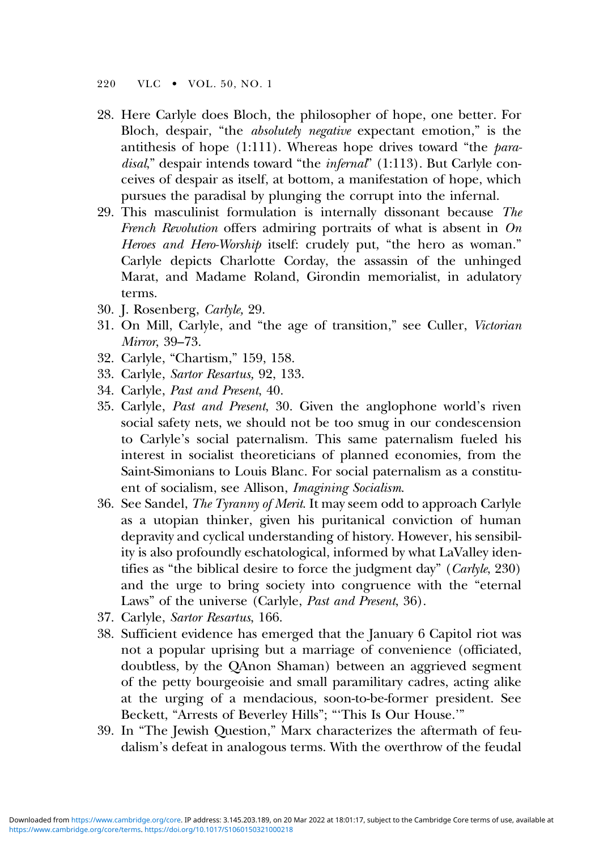#### <span id="page-18-0"></span>220 VLC • VOL. 50, NO. 1

- 28. Here Carlyle does Bloch, the philosopher of hope, one better. For Bloch, despair, "the *absolutely negative* expectant emotion," is the antithesis of hope  $(1:111)$ . Whereas hope drives toward "the *para*disal," despair intends toward "the infernal" (1:113). But Carlyle conceives of despair as itself, at bottom, a manifestation of hope, which pursues the paradisal by plunging the corrupt into the infernal.
- 29. This masculinist formulation is internally dissonant because The French Revolution offers admiring portraits of what is absent in  $On$ Heroes and Hero-Worship itself: crudely put, "the hero as woman." Carlyle depicts Charlotte Corday, the assassin of the unhinged Marat, and Madame Roland, Girondin memorialist, in adulatory terms.
- 30. J. Rosenberg, Carlyle, 29.
- 31. On Mill, Carlyle, and "the age of transition," see Culler, Victorian Mirror, 39–73.
- 32. Carlyle, "Chartism," 159, 158.
- 33. Carlyle, Sartor Resartus, 92, 133.
- 34. Carlyle, Past and Present, 40.
- 35. Carlyle, Past and Present, 30. Given the anglophone world's riven social safety nets, we should not be too smug in our condescension to Carlyle's social paternalism. This same paternalism fueled his interest in socialist theoreticians of planned economies, from the Saint-Simonians to Louis Blanc. For social paternalism as a constituent of socialism, see Allison, Imagining Socialism.
- 36. See Sandel, The Tyranny of Merit. It may seem odd to approach Carlyle as a utopian thinker, given his puritanical conviction of human depravity and cyclical understanding of history. However, his sensibility is also profoundly eschatological, informed by what LaValley identifies as "the biblical desire to force the judgment day" (Carlyle, 230) and the urge to bring society into congruence with the "eternal Laws" of the universe (Carlyle, Past and Present, 36).
- 37. Carlyle, Sartor Resartus, 166.
- 38. Sufficient evidence has emerged that the January 6 Capitol riot was not a popular uprising but a marriage of convenience (officiated, doubtless, by the QAnon Shaman) between an aggrieved segment of the petty bourgeoisie and small paramilitary cadres, acting alike at the urging of a mendacious, soon-to-be-former president. See Beckett, "Arrests of Beverley Hills"; "'This Is Our House.'"
- 39. In "The Jewish Question," Marx characterizes the aftermath of feudalism's defeat in analogous terms. With the overthrow of the feudal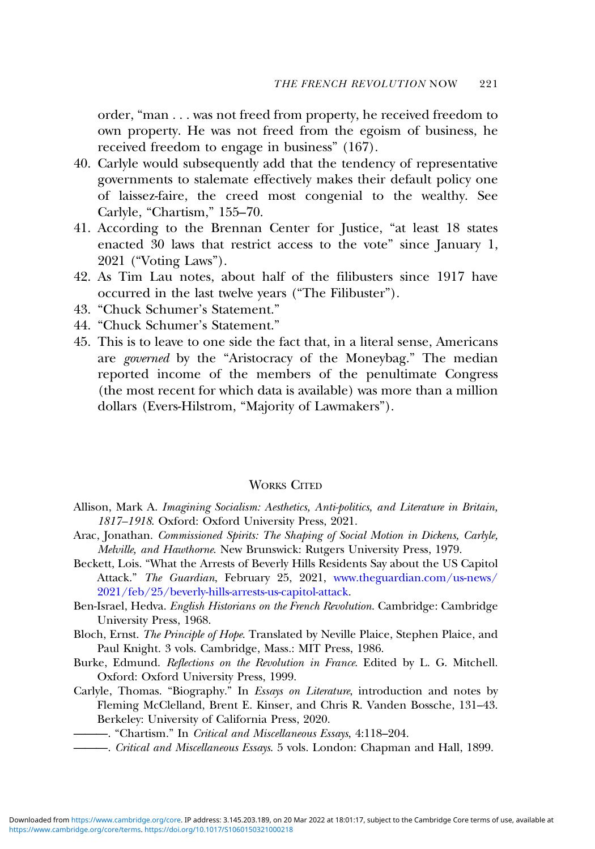<span id="page-19-0"></span>order, "man . . . was not freed from property, he received freedom to own property. He was not freed from the egoism of business, he received freedom to engage in business" (167).

- 40. Carlyle would subsequently add that the tendency of representative governments to stalemate effectively makes their default policy one of laissez-faire, the creed most congenial to the wealthy. See Carlyle, "Chartism," 155–70.
- 41. According to the Brennan Center for Justice, "at least 18 states enacted 30 laws that restrict access to the vote" since January 1, 2021 ("Voting Laws").
- 42. As Tim Lau notes, about half of the filibusters since 1917 have occurred in the last twelve years ("The Filibuster").
- 43. "Chuck Schumer's Statement."
- 44. "Chuck Schumer's Statement."
- 45. This is to leave to one side the fact that, in a literal sense, Americans are governed by the "Aristocracy of the Moneybag." The median reported income of the members of the penultimate Congress (the most recent for which data is available) was more than a million dollars (Evers-Hilstrom, "Majority of Lawmakers").

#### WORKS CITED

- Allison, Mark A. Imagining Socialism: Aesthetics, Anti-politics, and Literature in Britain, 1817–1918. Oxford: Oxford University Press, 2021.
- Arac, Jonathan. Commissioned Spirits: The Shaping of Social Motion in Dickens, Carlyle, Melville, and Hawthorne. New Brunswick: Rutgers University Press, 1979.
- Beckett, Lois. "What the Arrests of Beverly Hills Residents Say about the US Capitol Attack." The Guardian, February 25, 2021, [www.theguardian.com/us-news/](http://www.theguardian.com/us-news/2021/feb/25/beverly-hills-arrests-us-capitol-attack) [2021/feb/25/beverly-hills-arrests-us-capitol-attack.](http://www.theguardian.com/us-news/2021/feb/25/beverly-hills-arrests-us-capitol-attack)
- Ben-Israel, Hedva. English Historians on the French Revolution. Cambridge: Cambridge University Press, 1968.
- Bloch, Ernst. The Principle of Hope. Translated by Neville Plaice, Stephen Plaice, and Paul Knight. 3 vols. Cambridge, Mass.: MIT Press, 1986.
- Burke, Edmund. Reflections on the Revolution in France. Edited by L. G. Mitchell. Oxford: Oxford University Press, 1999.
- Carlyle, Thomas. "Biography." In Essays on Literature, introduction and notes by Fleming McClelland, Brent E. Kinser, and Chris R. Vanden Bossche, 131–43. Berkeley: University of California Press, 2020.

———. "Chartism." In Critical and Miscellaneous Essays, 4:118–204.

- Critical and Miscellaneous Essays. 5 vols. London: Chapman and Hall, 1899.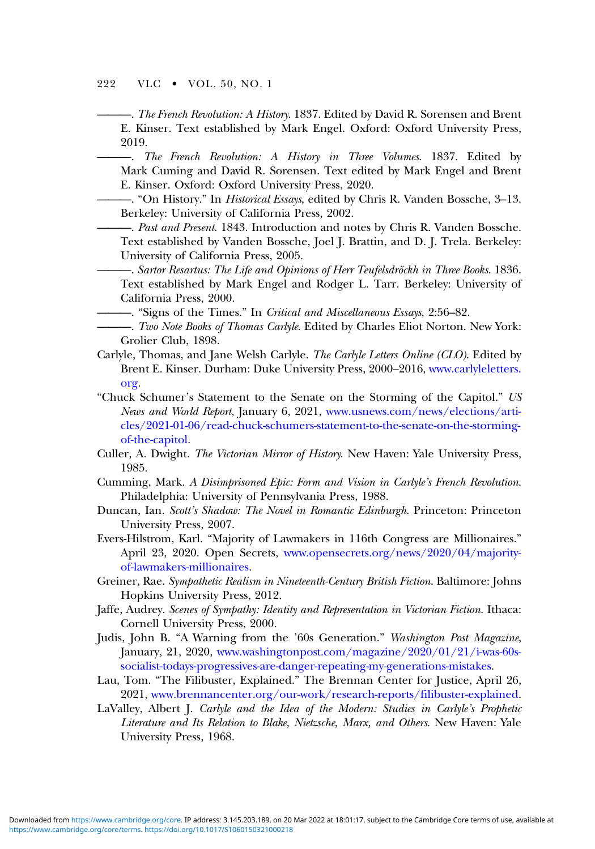#### 222 VLC • VOL. 50, NO. 1

- ———. The French Revolution: A History. 1837. Edited by David R. Sorensen and Brent E. Kinser. Text established by Mark Engel. Oxford: Oxford University Press, 2019.
	- ———. The French Revolution: A History in Three Volumes. 1837. Edited by Mark Cuming and David R. Sorensen. Text edited by Mark Engel and Brent E. Kinser. Oxford: Oxford University Press, 2020.
- —. "On History." In *Historical Essays*, edited by Chris R. Vanden Bossche, 3-13. Berkeley: University of California Press, 2002.
- -. Past and Present. 1843. Introduction and notes by Chris R. Vanden Bossche. Text established by Vanden Bossche, Joel J. Brattin, and D. J. Trela. Berkeley: University of California Press, 2005.
- ———. Sartor Resartus: The Life and Opinions of Herr Teufelsdröckh in Three Books. 1836. Text established by Mark Engel and Rodger L. Tarr. Berkeley: University of California Press, 2000.
- —. "Signs of the Times." In Critical and Miscellaneous Essays, 2:56-82.
- -. Two Note Books of Thomas Carlyle. Edited by Charles Eliot Norton. New York: Grolier Club, 1898.
- Carlyle, Thomas, and Jane Welsh Carlyle. The Carlyle Letters Online (CLO). Edited by Brent E. Kinser. Durham: Duke University Press, 2000–2016, [www.carlyleletters.](https://www.carlyleletters.org) [org.](https://www.carlyleletters.org)
- "Chuck Schumer's Statement to the Senate on the Storming of the Capitol." US News and World Report, January 6, 2021, [www.usnews.com/news/elections/arti](https://www.usnews.com/news/elections/articles/2021-01-06/read-chuck-schumers-statement-to-the-senate-on-the-storming-of-the-capitol)[cles/2021-01-06/read-chuck-schumers-statement-to-the-senate-on-the-storming](https://www.usnews.com/news/elections/articles/2021-01-06/read-chuck-schumers-statement-to-the-senate-on-the-storming-of-the-capitol)[of-the-capitol.](https://www.usnews.com/news/elections/articles/2021-01-06/read-chuck-schumers-statement-to-the-senate-on-the-storming-of-the-capitol)
- Culler, A. Dwight. The Victorian Mirror of History. New Haven: Yale University Press, 1985.
- Cumming, Mark. A Disimprisoned Epic: Form and Vision in Carlyle's French Revolution. Philadelphia: University of Pennsylvania Press, 1988.
- Duncan, Ian. Scott's Shadow: The Novel in Romantic Edinburgh. Princeton: Princeton University Press, 2007.
- Evers-Hilstrom, Karl. "Majority of Lawmakers in 116th Congress are Millionaires." April 23, 2020. Open Secrets, [www.opensecrets.org/news/2020/04/majority](https://www.opensecrets.org/news/2020/04/majority-of-lawmakers-millionaires)[of-lawmakers-millionaires.](https://www.opensecrets.org/news/2020/04/majority-of-lawmakers-millionaires)
- Greiner, Rae. Sympathetic Realism in Nineteenth-Century British Fiction. Baltimore: Johns Hopkins University Press, 2012.
- Jaffe, Audrey. Scenes of Sympathy: Identity and Representation in Victorian Fiction. Ithaca: Cornell University Press, 2000.
- Judis, John B. "A Warning from the '60s Generation." Washington Post Magazine, January, 21, 2020, [www.washingtonpost.com/magazine/2020/01/21/i-was-60s](https://www.washingtonpost.com/magazine/2020/01/21/i-was-60s-socialist-todays-progressives-are-danger-repeating-my-generations-mistakes)[socialist-todays-progressives-are-danger-repeating-my-generations-mistakes](https://www.washingtonpost.com/magazine/2020/01/21/i-was-60s-socialist-todays-progressives-are-danger-repeating-my-generations-mistakes).
- Lau, Tom. "The Filibuster, Explained." The Brennan Center for Justice, April 26, 2021, [www.brennancenter.org/our-work/research-reports/filibuster-explained](https://www.brennancenter.org/our-work/research-reports/filibuster-explained).
- LaValley, Albert J. Carlyle and the Idea of the Modern: Studies in Carlyle's Prophetic Literature and Its Relation to Blake, Nietzsche, Marx, and Others. New Haven: Yale University Press, 1968.